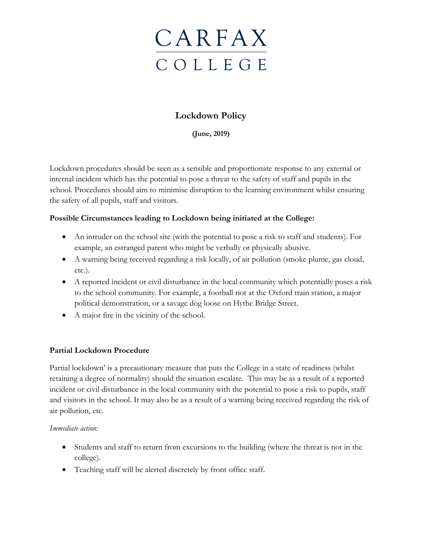

## **Lockdown Policy**

**(June, 2019)**

Lockdown procedures should be seen as a sensible and proportionate response to any external or internal incident which has the potential to pose a threat to the safety of staff and pupils in the school. Procedures should aim to minimise disruption to the learning environment whilst ensuring the safety of all pupils, staff and visitors.

### **Possible Circumstances leading to Lockdown being initiated at the College:**

- An intruder on the school site (with the potential to pose a risk to staff and students). For example, an estranged parent who might be verbally or physically abusive.
- A warning being received regarding a risk locally, of air pollution (smoke plume, gas cloud, etc.).
- A reported incident or civil disturbance in the local community which potentially poses a risk to the school community. For example, a football riot at the Oxford train station, a major political demonstration, or a savage dog loose on Hythe Bridge Street.
- A major fire in the vicinity of the school.

### **Partial Lockdown Procedure**

Partial lockdown' is a precautionary measure that puts the College in a state of readiness (whilst retaining a degree of normality) should the situation escalate. This may be as a result of a reported incident or civil disturbance in the local community with the potential to pose a risk to pupils, staff and visitors in the school. It may also be as a result of a warning being received regarding the risk of air pollution, etc.

#### *Immediate action:*

- Students and staff to return from excursions to the building (where the threat is not in the college).
- Teaching staff will be alerted discretely by front office staff.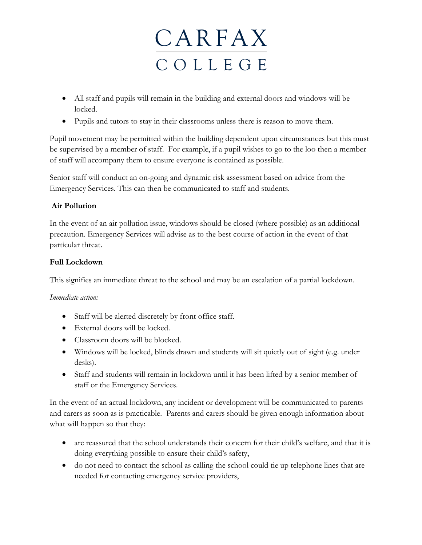# **CARFAX** C O L L E G E

- All staff and pupils will remain in the building and external doors and windows will be locked.
- Pupils and tutors to stay in their classrooms unless there is reason to move them.

Pupil movement may be permitted within the building dependent upon circumstances but this must be supervised by a member of staff. For example, if a pupil wishes to go to the loo then a member of staff will accompany them to ensure everyone is contained as possible.

Senior staff will conduct an on-going and dynamic risk assessment based on advice from the Emergency Services. This can then be communicated to staff and students.

### **Air Pollution**

In the event of an air pollution issue, windows should be closed (where possible) as an additional precaution. Emergency Services will advise as to the best course of action in the event of that particular threat.

### **Full Lockdown**

This signifies an immediate threat to the school and may be an escalation of a partial lockdown.

### *Immediate action:*

- Staff will be alerted discretely by front office staff.
- External doors will be locked.
- Classroom doors will be blocked.
- Windows will be locked, blinds drawn and students will sit quietly out of sight (e.g. under desks).
- Staff and students will remain in lockdown until it has been lifted by a senior member of staff or the Emergency Services.

In the event of an actual lockdown, any incident or development will be communicated to parents and carers as soon as is practicable. Parents and carers should be given enough information about what will happen so that they:

- are reassured that the school understands their concern for their child's welfare, and that it is doing everything possible to ensure their child's safety,
- do not need to contact the school as calling the school could tie up telephone lines that are needed for contacting emergency service providers,